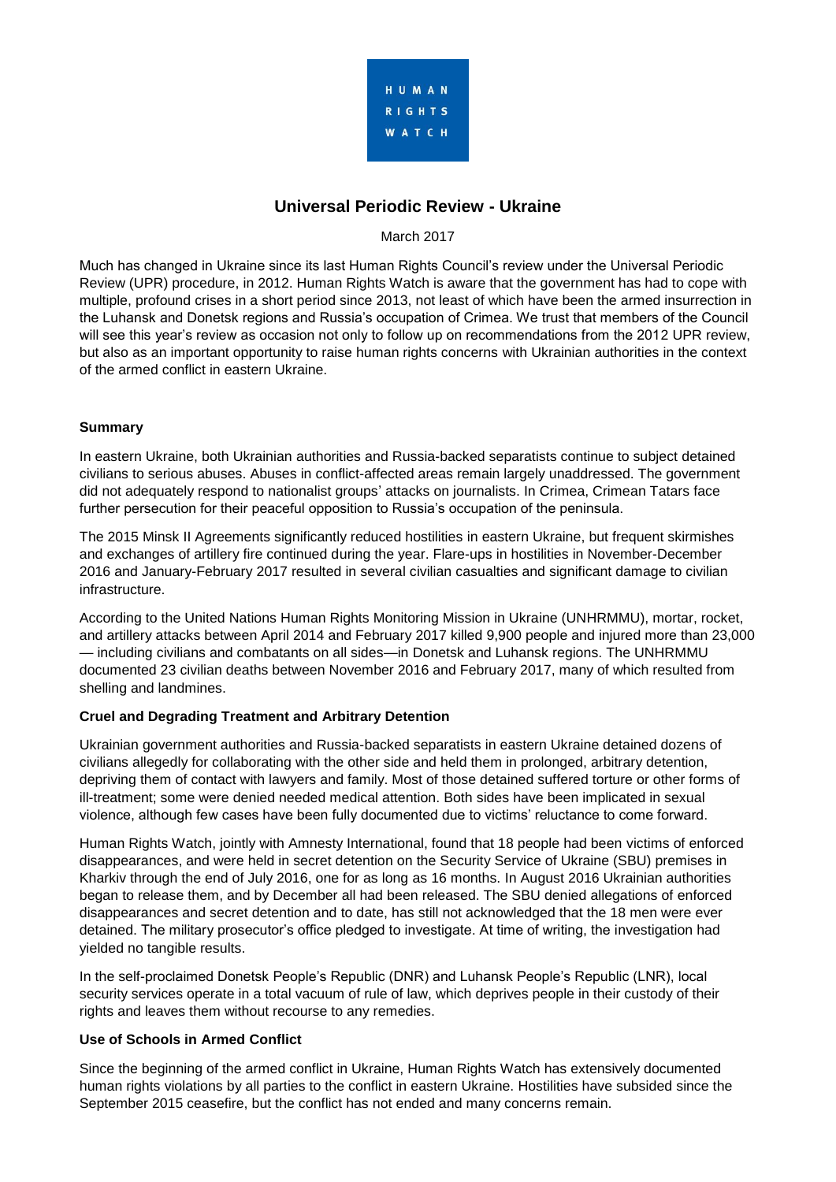

# **Universal Periodic Review - Ukraine**

## March 2017

Much has changed in Ukraine since its last Human Rights Council's review under the Universal Periodic Review (UPR) procedure, in 2012. Human Rights Watch is aware that the government has had to cope with multiple, profound crises in a short period since 2013, not least of which have been the armed insurrection in the Luhansk and Donetsk regions and Russia's occupation of Crimea. We trust that members of the Council will see this year's review as occasion not only to follow up on recommendations from the 2012 UPR review, but also as an important opportunity to raise human rights concerns with Ukrainian authorities in the context of the armed conflict in eastern Ukraine.

# **Summary**

In eastern Ukraine, both Ukrainian authorities and Russia-backed separatists continue to subject detained civilians to serious abuses. Abuses in conflict-affected areas remain largely unaddressed. The government did not adequately respond to nationalist groups' attacks on journalists. In Crimea, Crimean Tatars face further persecution for their peaceful opposition to Russia's occupation of the peninsula.

The 2015 Minsk II Agreements significantly reduced hostilities in eastern Ukraine, but frequent skirmishes and exchanges of artillery fire continued during the year. Flare-ups in hostilities in November-December 2016 and January-February 2017 resulted in several civilian casualties and significant damage to civilian infrastructure.

According to the United Nations Human Rights Monitoring Mission in Ukraine (UNHRMMU), mortar, rocket, and artillery attacks between April 2014 and February 2017 killed 9,900 people and injured more than 23,000 — including civilians and combatants on all sides—in Donetsk and Luhansk regions. The UNHRMMU documented 23 civilian deaths between November 2016 and February 2017, many of which resulted from shelling and landmines.

### **Cruel and Degrading Treatment and Arbitrary Detention**

Ukrainian government authorities and Russia-backed separatists in eastern Ukraine detained dozens of civilians allegedly for collaborating with the other side and held them in prolonged, arbitrary detention, depriving them of contact with lawyers and family. Most of those detained suffered torture or other forms of ill-treatment; some were denied needed medical attention. Both sides have been implicated in sexual violence, although few cases have been fully documented due to victims' reluctance to come forward.

Human Rights Watch, jointly with Amnesty International, found that 18 people had been victims of enforced disappearances, and were held in secret detention on the Security Service of Ukraine (SBU) premises in Kharkiv through the end of July 2016, one for as long as 16 months. In August 2016 Ukrainian authorities began to release them, and by December all had been released. The SBU denied allegations of enforced disappearances and secret detention and to date, has still not acknowledged that the 18 men were ever detained. The military prosecutor's office pledged to investigate. At time of writing, the investigation had yielded no tangible results.

In the self-proclaimed Donetsk People's Republic (DNR) and Luhansk People's Republic (LNR), local security services operate in a total vacuum of rule of law, which deprives people in their custody of their rights and leaves them without recourse to any remedies.

### **Use of Schools in Armed Conflict**

Since the beginning of the armed conflict in Ukraine, Human Rights Watch has extensively documented human rights violations by all parties to the conflict in eastern Ukraine. Hostilities have subsided since the September 2015 ceasefire, but the conflict has not ended and many concerns remain.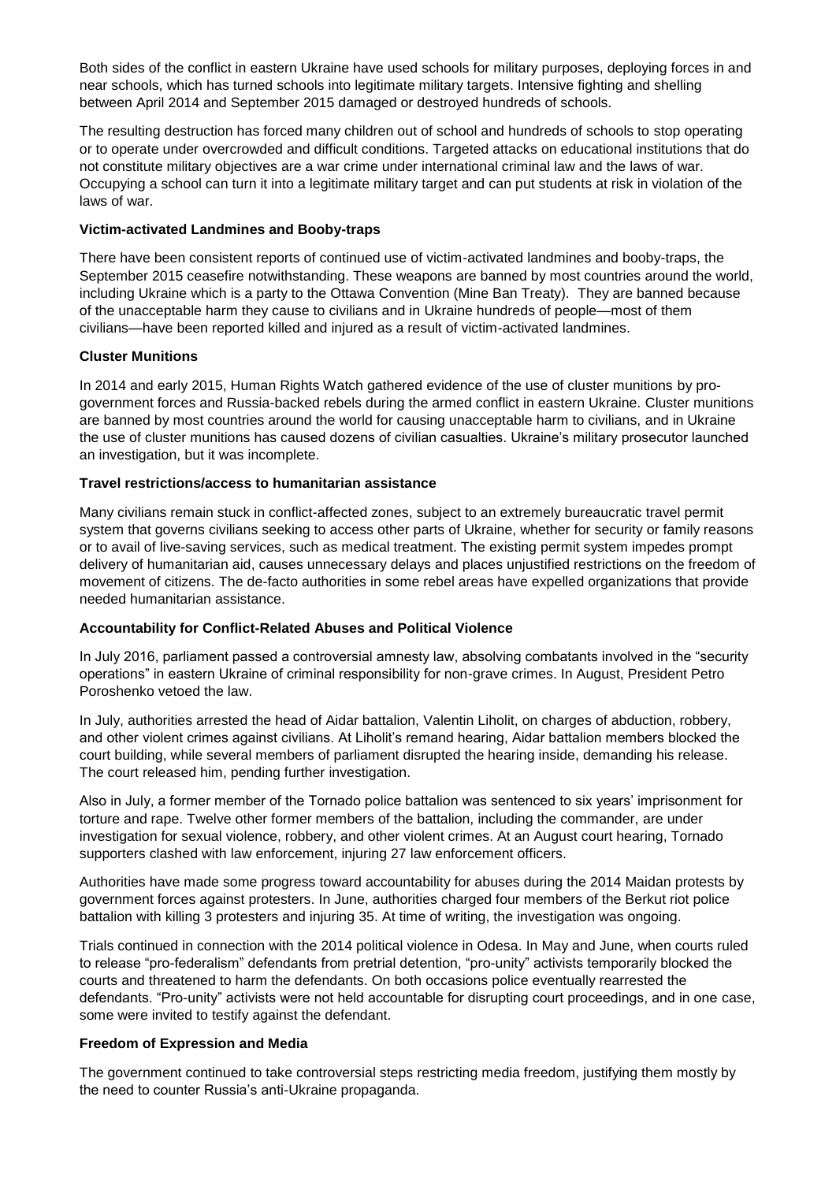Both sides of the conflict in eastern Ukraine have used schools for military purposes, deploying forces in and near schools, which has turned schools into legitimate military targets. Intensive fighting and shelling between April 2014 and September 2015 damaged or destroyed hundreds of schools.

The resulting destruction has forced many children out of school and hundreds of schools to stop operating or to operate under overcrowded and difficult conditions. Targeted attacks on educational institutions that do not constitute military objectives are a war crime under international criminal law and the laws of war. Occupying a school can turn it into a legitimate military target and can put students at risk in violation of the laws of war.

#### **Victim-activated Landmines and Booby-traps**

There have been consistent reports of continued use of victim-activated landmines and booby-traps, the September 2015 ceasefire notwithstanding. These weapons are banned by most countries around the world, including Ukraine which is a party to the Ottawa Convention (Mine Ban Treaty). They are banned because of the unacceptable harm they cause to civilians and in Ukraine hundreds of people—most of them civilians—have been reported killed and injured as a result of victim-activated landmines.

### **Cluster Munitions**

In 2014 and early 2015, Human Rights Watch gathered evidence of the use of cluster munitions by progovernment forces and Russia-backed rebels during the armed conflict in eastern Ukraine. Cluster munitions are banned by most countries around the world for causing unacceptable harm to civilians, and in Ukraine the use of cluster munitions has caused dozens of civilian casualties. Ukraine's military prosecutor launched an investigation, but it was incomplete.

### **Travel restrictions/access to humanitarian assistance**

Many civilians remain stuck in conflict-affected zones, subject to an extremely bureaucratic travel permit system that governs civilians seeking to access other parts of Ukraine, whether for security or family reasons or to avail of live-saving services, such as medical treatment. The existing permit system impedes prompt delivery of humanitarian aid, causes unnecessary delays and places unjustified restrictions on the freedom of movement of citizens. The de-facto authorities in some rebel areas have expelled organizations that provide needed humanitarian assistance.

### **Accountability for Conflict-Related Abuses and Political Violence**

In July 2016, parliament passed a controversial amnesty law, absolving combatants involved in the "security operations" in eastern Ukraine of criminal responsibility for non-grave crimes. In August, President Petro Poroshenko vetoed the law.

In July, authorities arrested the head of Aidar battalion, Valentin Liholit, on charges of abduction, robbery, and other violent crimes against civilians. At Liholit's remand hearing, Aidar battalion members blocked the court building, while several members of parliament disrupted the hearing inside, demanding his release. The court released him, pending further investigation.

Also in July, a former member of the Tornado police battalion was sentenced to six years' imprisonment for torture and rape. Twelve other former members of the battalion, including the commander, are under investigation for sexual violence, robbery, and other violent crimes. At an August court hearing, Tornado supporters clashed with law enforcement, injuring 27 law enforcement officers.

Authorities have made some progress toward accountability for abuses during the 2014 Maidan protests by government forces against protesters. In June, authorities charged four members of the Berkut riot police battalion with killing 3 protesters and injuring 35. At time of writing, the investigation was ongoing.

Trials continued in connection with the 2014 political violence in Odesa. In May and June, when courts ruled to release "pro-federalism" defendants from pretrial detention, "pro-unity" activists temporarily blocked the courts and threatened to harm the defendants. On both occasions police eventually rearrested the defendants. "Pro-unity" activists were not held accountable for disrupting court proceedings, and in one case, some were invited to testify against the defendant.

### **Freedom of Expression and Media**

The government continued to take controversial steps restricting media freedom, justifying them mostly by the need to counter Russia's anti-Ukraine propaganda.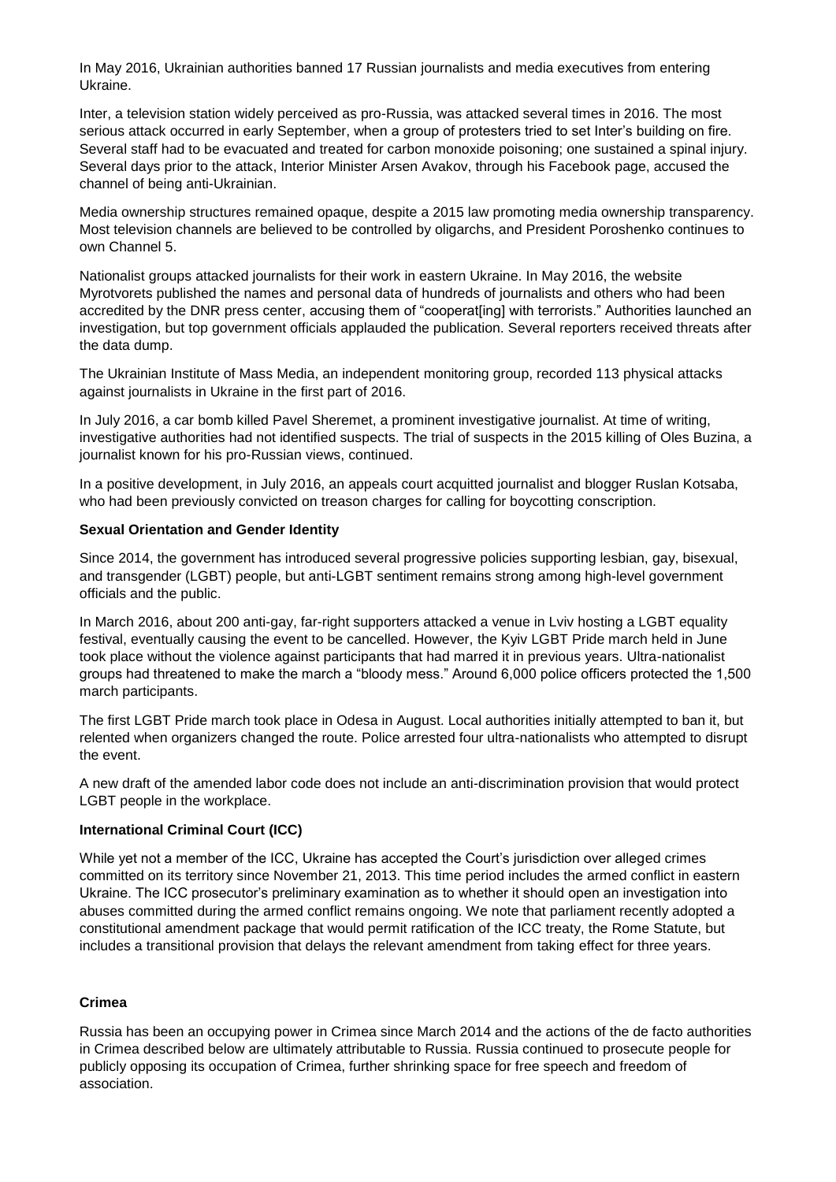In May 2016, Ukrainian authorities banned 17 Russian journalists and media executives from entering Ukraine.

Inter, a television station widely perceived as pro-Russia, was attacked several times in 2016. The most serious attack occurred in early September, when a group of protesters tried to set Inter's building on fire. Several staff had to be evacuated and treated for carbon monoxide poisoning; one sustained a spinal injury. Several days prior to the attack, Interior Minister Arsen Avakov, through his Facebook page, accused the channel of being anti-Ukrainian.

Media ownership structures remained opaque, despite a 2015 law promoting media ownership transparency. Most television channels are believed to be controlled by oligarchs, and President Poroshenko continues to own Channel 5.

Nationalist groups attacked journalists for their work in eastern Ukraine. In May 2016, the website Myrotvorets published the names and personal data of hundreds of journalists and others who had been accredited by the DNR press center, accusing them of "cooperat[ing] with terrorists." Authorities launched an investigation, but top government officials applauded the publication. Several reporters received threats after the data dump.

The Ukrainian Institute of Mass Media, an independent monitoring group, recorded 113 physical attacks against journalists in Ukraine in the first part of 2016.

In July 2016, a car bomb killed Pavel Sheremet, a prominent investigative journalist. At time of writing, investigative authorities had not identified suspects. The trial of suspects in the 2015 killing of Oles Buzina, a journalist known for his pro-Russian views, continued.

In a positive development, in July 2016, an appeals court acquitted journalist and blogger Ruslan Kotsaba, who had been previously convicted on treason charges for calling for boycotting conscription.

#### **Sexual Orientation and Gender Identity**

Since 2014, the government has introduced several progressive policies supporting lesbian, gay, bisexual, and transgender (LGBT) people, but anti-LGBT sentiment remains strong among high-level government officials and the public.

In March 2016, about 200 anti-gay, far-right supporters attacked a venue in Lviv hosting a LGBT equality festival, eventually causing the event to be cancelled. However, the Kyiv LGBT Pride march held in June took place without the violence against participants that had marred it in previous years. Ultra-nationalist groups had threatened to make the march a "bloody mess." Around 6,000 police officers protected the 1,500 march participants.

The first LGBT Pride march took place in Odesa in August. Local authorities initially attempted to ban it, but relented when organizers changed the route. Police arrested four ultra-nationalists who attempted to disrupt the event.

A new draft of the amended labor code does not include an anti-discrimination provision that would protect LGBT people in the workplace.

### **International Criminal Court (ICC)**

While yet not a member of the ICC, Ukraine has accepted the Court's jurisdiction over alleged crimes committed on its territory since November 21, 2013. This time period includes the armed conflict in eastern Ukraine. The ICC prosecutor's preliminary examination as to whether it should open an investigation into abuses committed during the armed conflict remains ongoing. We note that parliament recently adopted a constitutional amendment package that would permit ratification of the ICC treaty, the Rome Statute, but includes a transitional provision that delays the relevant amendment from taking effect for three years.

#### **Crimea**

Russia has been an occupying power in Crimea since March 2014 and the actions of the de facto authorities in Crimea described below are ultimately attributable to Russia. Russia continued to prosecute people for publicly opposing its occupation of Crimea, further shrinking space for free speech and freedom of association.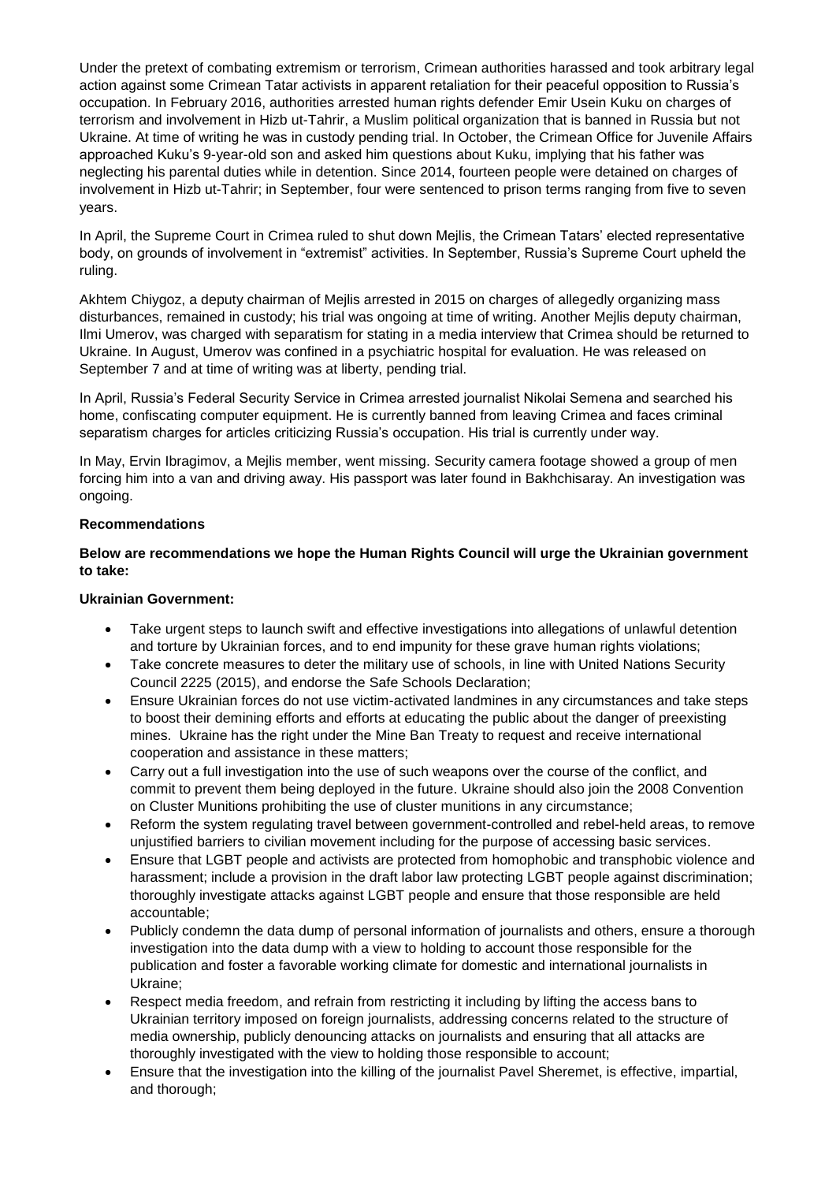Under the pretext of combating extremism or terrorism, Crimean authorities harassed and took arbitrary legal action against some Crimean Tatar activists in apparent retaliation for their peaceful opposition to Russia's occupation. In February 2016, authorities arrested human rights defender Emir Usein Kuku on charges of terrorism and involvement in Hizb ut-Tahrir, a Muslim political organization that is banned in Russia but not Ukraine. At time of writing he was in custody pending trial. In October, the Crimean Office for Juvenile Affairs approached Kuku's 9-year-old son and asked him questions about Kuku, implying that his father was neglecting his parental duties while in detention. Since 2014, fourteen people were detained on charges of involvement in Hizb ut-Tahrir; in September, four were sentenced to prison terms ranging from five to seven years.

In April, the Supreme Court in Crimea ruled to shut down Mejlis, the Crimean Tatars' elected representative body, on grounds of involvement in "extremist" activities. In September, Russia's Supreme Court upheld the ruling.

Akhtem Chiygoz, a deputy chairman of Mejlis arrested in 2015 on charges of allegedly organizing mass disturbances, remained in custody; his trial was ongoing at time of writing. Another Mejlis deputy chairman, Ilmi Umerov, was charged with separatism for stating in a media interview that Crimea should be returned to Ukraine. In August, Umerov was confined in a psychiatric hospital for evaluation. He was released on September 7 and at time of writing was at liberty, pending trial.

In April, Russia's Federal Security Service in Crimea arrested journalist Nikolai Semena and searched his home, confiscating computer equipment. He is currently banned from leaving Crimea and faces criminal separatism charges for articles criticizing Russia's occupation. His trial is currently under way.

In May, Ervin Ibragimov, a Mejlis member, went missing. Security camera footage showed a group of men forcing him into a van and driving away. His passport was later found in Bakhchisaray. An investigation was ongoing.

### **Recommendations**

### **Below are recommendations we hope the Human Rights Council will urge the Ukrainian government to take:**

#### **Ukrainian Government:**

- Take urgent steps to launch swift and effective investigations into allegations of unlawful detention and torture by Ukrainian forces, and to end impunity for these grave human rights violations;
- Take concrete measures to deter the military use of schools, in line with United Nations Security Council 2225 (2015), and endorse the Safe Schools Declaration;
- Ensure Ukrainian forces do not use victim-activated landmines in any circumstances and take steps to boost their demining efforts and efforts at educating the public about the danger of preexisting mines. Ukraine has the right under the Mine Ban Treaty to request and receive international cooperation and assistance in these matters;
- Carry out a full investigation into the use of such weapons over the course of the conflict, and commit to prevent them being deployed in the future. Ukraine should also join the 2008 Convention on Cluster Munitions prohibiting the use of cluster munitions in any circumstance;
- Reform the system regulating travel between government-controlled and rebel-held areas, to remove unjustified barriers to civilian movement including for the purpose of accessing basic services.
- Еnsure that LGBT people and activists are protected from homophobic and transphobic violence and harassment; include a provision in the draft labor law protecting LGBT people against discrimination; thoroughly investigate attacks against LGBT people and ensure that those responsible are held accountable;
- Publicly condemn the data dump of personal information of journalists and others, ensure a thorough investigation into the data dump with a view to holding to account those responsible for the publication and foster a favorable working climate for domestic and international journalists in Ukraine;
- Respect media freedom, and refrain from restricting it including by lifting the access bans to Ukrainian territory imposed on foreign journalists, addressing concerns related to the structure of media ownership, publicly denouncing attacks on journalists and ensuring that all attacks are thoroughly investigated with the view to holding those responsible to account;
- Ensure that the investigation into the killing of the journalist Pavel Sheremet, is effective, impartial, and thorough;